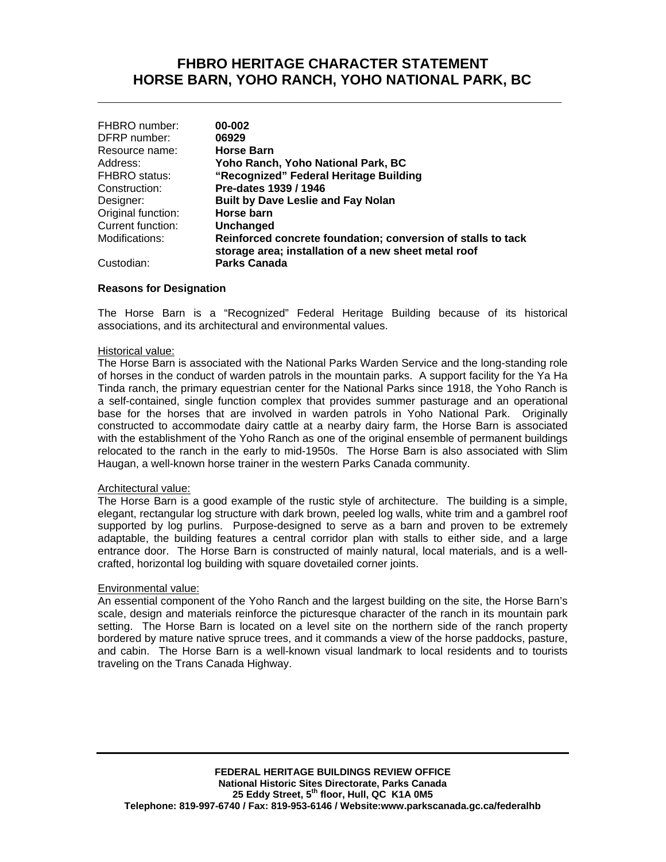## **FHBRO HERITAGE CHARACTER STATEMENT HORSE BARN, YOHO RANCH, YOHO NATIONAL PARK, BC**

**\_\_\_\_\_\_\_\_\_\_\_\_\_\_\_\_\_\_\_\_\_\_\_\_\_\_\_\_\_\_\_\_\_\_\_\_\_\_\_\_\_\_\_\_\_\_\_\_\_\_\_\_\_\_\_\_\_\_\_**

| FHBRO number:      | 00-002                                                                                                               |
|--------------------|----------------------------------------------------------------------------------------------------------------------|
| DFRP number:       | 06929                                                                                                                |
| Resource name:     | <b>Horse Barn</b>                                                                                                    |
| Address:           | Yoho Ranch, Yoho National Park, BC                                                                                   |
| FHBRO status:      | "Recognized" Federal Heritage Building                                                                               |
| Construction:      | Pre-dates 1939 / 1946                                                                                                |
| Designer:          | <b>Built by Dave Leslie and Fay Nolan</b>                                                                            |
| Original function: | Horse barn                                                                                                           |
| Current function:  | Unchanged                                                                                                            |
| Modifications:     | Reinforced concrete foundation; conversion of stalls to tack<br>storage area; installation of a new sheet metal roof |
| Custodian:         | <b>Parks Canada</b>                                                                                                  |

#### **Reasons for Designation**

The Horse Barn is a "Recognized" Federal Heritage Building because of its historical associations, and its architectural and environmental values.

#### Historical value:

The Horse Barn is associated with the National Parks Warden Service and the long-standing role of horses in the conduct of warden patrols in the mountain parks. A support facility for the Ya Ha Tinda ranch, the primary equestrian center for the National Parks since 1918, the Yoho Ranch is a self-contained, single function complex that provides summer pasturage and an operational base for the horses that are involved in warden patrols in Yoho National Park. Originally constructed to accommodate dairy cattle at a nearby dairy farm, the Horse Barn is associated with the establishment of the Yoho Ranch as one of the original ensemble of permanent buildings relocated to the ranch in the early to mid-1950s. The Horse Barn is also associated with Slim Haugan, a well-known horse trainer in the western Parks Canada community.

#### Architectural value:

The Horse Barn is a good example of the rustic style of architecture. The building is a simple, elegant, rectangular log structure with dark brown, peeled log walls, white trim and a gambrel roof supported by log purlins. Purpose-designed to serve as a barn and proven to be extremely adaptable, the building features a central corridor plan with stalls to either side, and a large entrance door. The Horse Barn is constructed of mainly natural, local materials, and is a wellcrafted, horizontal log building with square dovetailed corner joints.

#### Environmental value:

An essential component of the Yoho Ranch and the largest building on the site, the Horse Barn's scale, design and materials reinforce the picturesque character of the ranch in its mountain park setting. The Horse Barn is located on a level site on the northern side of the ranch property bordered by mature native spruce trees, and it commands a view of the horse paddocks, pasture, and cabin. The Horse Barn is a well-known visual landmark to local residents and to tourists traveling on the Trans Canada Highway.